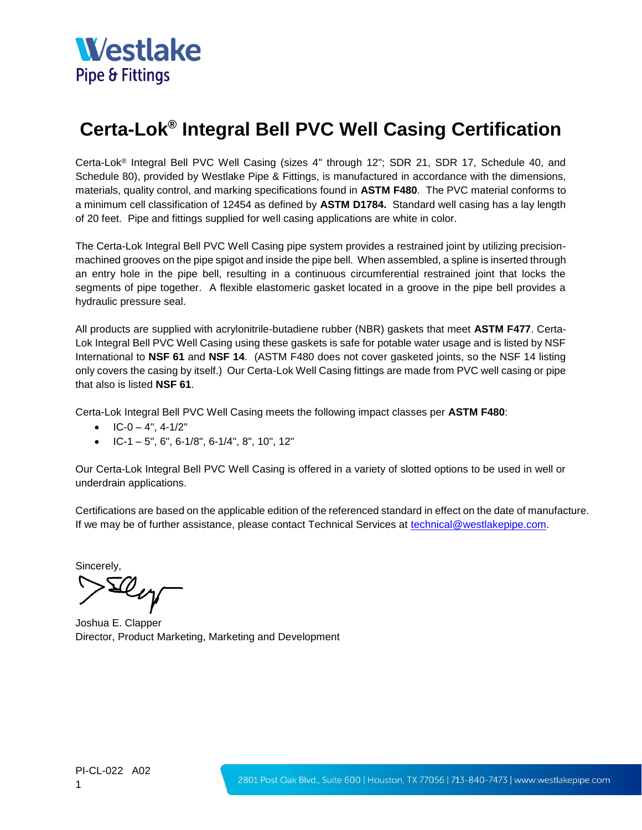

## **Certa-Lok® Integral Bell PVC Well Casing Certification**

Certa-Lok® Integral Bell PVC Well Casing (sizes 4" through 12"; SDR 21, SDR 17, Schedule 40, and Schedule 80), provided by Westlake Pipe & Fittings, is manufactured in accordance with the dimensions, materials, quality control, and marking specifications found in **ASTM F480**. The PVC material conforms to a minimum cell classification of 12454 as defined by **ASTM D1784.** Standard well casing has a lay length of 20 feet. Pipe and fittings supplied for well casing applications are white in color.

The Certa-Lok Integral Bell PVC Well Casing pipe system provides a restrained joint by utilizing precisionmachined grooves on the pipe spigot and inside the pipe bell. When assembled, a spline is inserted through an entry hole in the pipe bell, resulting in a continuous circumferential restrained joint that locks the segments of pipe together. A flexible elastomeric gasket located in a groove in the pipe bell provides a hydraulic pressure seal.

All products are supplied with acrylonitrile-butadiene rubber (NBR) gaskets that meet **ASTM F477**. Certa-Lok Integral Bell PVC Well Casing using these gaskets is safe for potable water usage and is listed by NSF International to **NSF 61** and **NSF 14**. (ASTM F480 does not cover gasketed joints, so the NSF 14 listing only covers the casing by itself.) Our Certa-Lok Well Casing fittings are made from PVC well casing or pipe that also is listed **NSF 61**.

Certa-Lok Integral Bell PVC Well Casing meets the following impact classes per **ASTM F480**:

- $IC-0-4$ ", 4-1/2"
- IC-1 5", 6", 6-1/8", 6-1/4", 8", 10", 12"

Our Certa-Lok Integral Bell PVC Well Casing is offered in a variety of slotted options to be used in well or underdrain applications.

Certifications are based on the applicable edition of the referenced standard in effect on the date of manufacture. If we may be of further assistance, please contact Technical Services at [technical@westlakepipe.com.](mailto:technical@westlakepipe.com)

Sincerely,<br>Selley

Joshua E. Clapper Director, Product Marketing, Marketing and Development